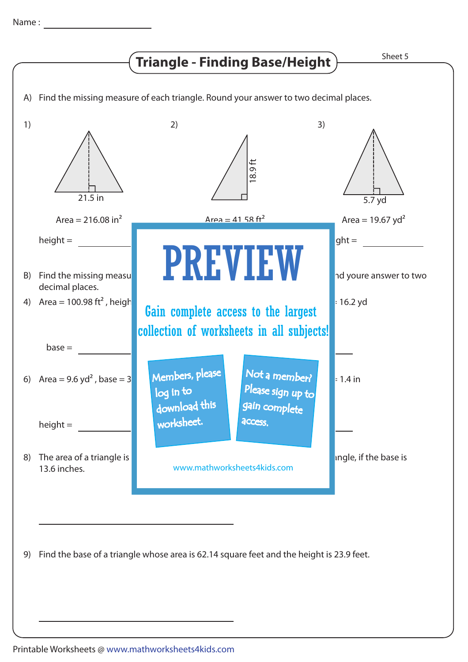